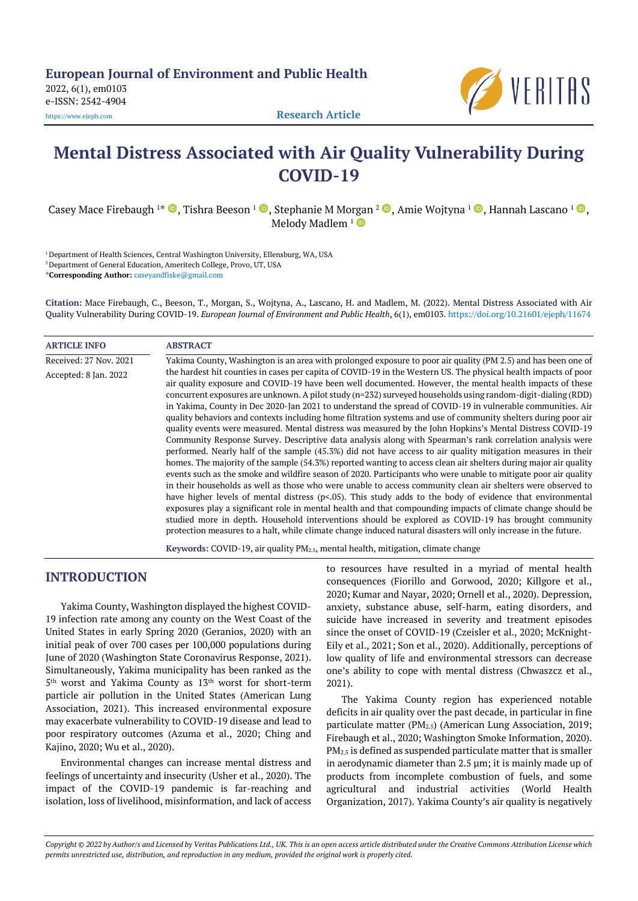**European Journal of Environment and Public Health**

2022, 6(1), em0103 e-ISSN: 2542-4904



# **Mental Distress Associated with Air Quality Vulnerability During COVID-19**

Casey Mace Firebaugh <sup>1</sup>\* ©, Tishra Beeson <sup>1</sup> ©, Stephanie M Morgan <sup>2</sup> ©, Amie Wojtyna <sup>1</sup> ©, Hannah Lascano <sup>1</sup> ©, Melody Madlem  $1$ <sup>O</sup>

<sup>1</sup> Department of Health Sciences, Central Washington University, Ellensburg, WA, USA <sup>2</sup> Department of General Education, Ameritech College, Provo, UT, USA \***Corresponding Author:** [caseyandfiske@gmail.com](mailto:caseyandfiske@gmail.com)

**Citation:** Mace Firebaugh, C., Beeson, T., Morgan, S., Wojtyna, A., Lascano, H. and Madlem, M. (2022). Mental Distress Associated with Air Quality Vulnerability During COVID-19. *European Journal of Environment and Public Health*, 6(1), em0103. <https://doi.org/10.21601/ejeph/11674>

### **ARTICLE INFO ABSTRACT**

Received: 27 Nov. 2021 Accepted: 8 Jan. 2022 Yakima County, Washington is an area with prolonged exposure to poor air quality (PM 2.5) and has been one of the hardest hit counties in cases per capita of COVID-19 in the Western US. The physical health impacts of poor air quality exposure and COVID-19 have been well documented. However, the mental health impacts of these concurrent exposures are unknown. A pilot study (n=232) surveyed households using random-digit-dialing (RDD) in Yakima, County in Dec 2020-Jan 2021 to understand the spread of COVID-19 in vulnerable communities. Air quality behaviors and contexts including home filtration systems and use of community shelters during poor air quality events were measured. Mental distress was measured by the John Hopkins's Mental Distress COVID-19 Community Response Survey. Descriptive data analysis along with Spearman's rank correlation analysis were performed. Nearly half of the sample (45.3%) did not have access to air quality mitigation measures in their homes. The majority of the sample (54.3%) reported wanting to access clean air shelters during major air quality events such as the smoke and wildfire season of 2020. Participants who were unable to mitigate poor air quality in their households as well as those who were unable to access community clean air shelters were observed to have higher levels of mental distress (p<.05). This study adds to the body of evidence that environmental exposures play a significant role in mental health and that compounding impacts of climate change should be studied more in depth. Household interventions should be explored as COVID-19 has brought community protection measures to a halt, while climate change induced natural disasters will only increase in the future.

**Keywords:** COVID-19, air quality PM2.5, mental health, mitigation, climate change

# **INTRODUCTION**

Yakima County, Washington displayed the highest COVID-19 infection rate among any county on the West Coast of the United States in early Spring 2020 (Geranios, 2020) with an initial peak of over 700 cases per 100,000 populations during June of 2020 (Washington State Coronavirus Response, 2021). Simultaneously, Yakima municipality has been ranked as the 5 th worst and Yakima County as 13th worst for short-term particle air pollution in the United States (American Lung Association, 2021). This increased environmental exposure may exacerbate vulnerability to COVID-19 disease and lead to poor respiratory outcomes (Azuma et al., 2020; Ching and Kajino, 2020; Wu et al., 2020).

Environmental changes can increase mental distress and feelings of uncertainty and insecurity (Usher et al., 2020). The impact of the COVID-19 pandemic is far-reaching and isolation, loss of livelihood, misinformation, and lack of access to resources have resulted in a myriad of mental health consequences (Fiorillo and Gorwood, 2020; Killgore et al., 2020; Kumar and Nayar, 2020; Ornell et al., 2020). Depression, anxiety, substance abuse, self-harm, eating disorders, and suicide have increased in severity and treatment episodes since the onset of COVID-19 (Czeisler et al., 2020; McKnight-Eily et al., 2021; Son et al., 2020). Additionally, perceptions of low quality of life and environmental stressors can decrease one's ability to cope with mental distress (Chwaszcz et al., 2021).

The Yakima County region has experienced notable deficits in air quality over the past decade, in particular in fine particulate matter (PM<sub>2.5</sub>) (American Lung Association, 2019; Firebaugh et al., 2020; Washington Smoke Information, 2020). PM2.5 is defined as suspended particulate matter that is smaller in aerodynamic diameter than 2.5 µm; it is mainly made up of products from incomplete combustion of fuels, and some agricultural and industrial activities (World Health Organization, 2017). Yakima County's air quality is negatively

Copyright @ 2022 by Author/s and Licensed by Veritas Publications Ltd., UK. This is an open access article distributed under the Creative Commons Attribution License which permits unrestricted use, distribution, and reproduction in any medium, provided the original work is properly cited.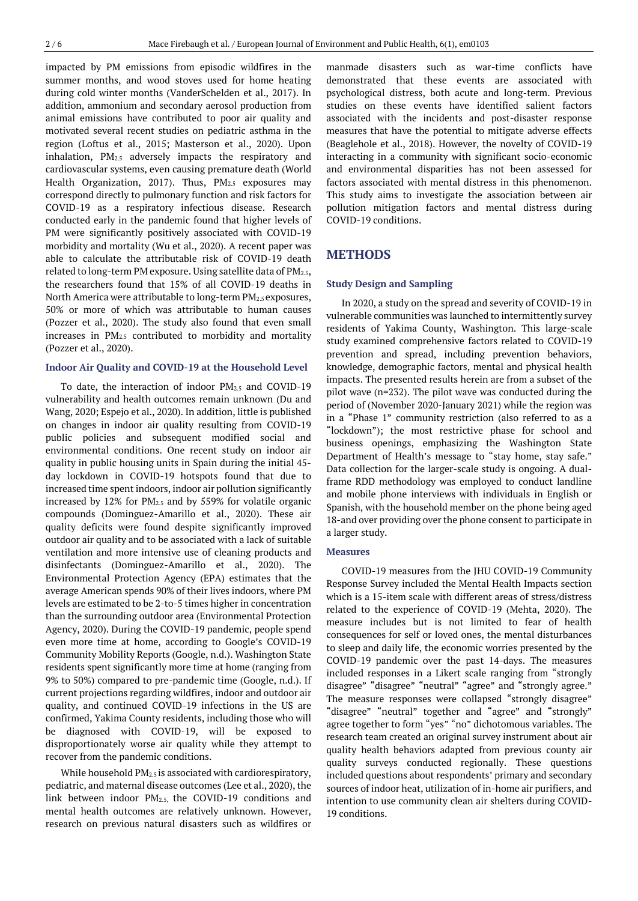impacted by PM emissions from episodic wildfires in the summer months, and wood stoves used for home heating during cold winter months (VanderSchelden et al., 2017). In addition, ammonium and secondary aerosol production from animal emissions have contributed to poor air quality and motivated several recent studies on pediatric asthma in the region (Loftus et al., 2015; Masterson et al., 2020). Upon inhalation, PM2.5 adversely impacts the respiratory and cardiovascular systems, even causing premature death (World Health Organization, 2017). Thus, PM<sub>2.5</sub> exposures may correspond directly to pulmonary function and risk factors for COVID-19 as a respiratory infectious disease. Research conducted early in the pandemic found that higher levels of PM were significantly positively associated with COVID-19 morbidity and mortality (Wu et al., 2020). A recent paper was able to calculate the attributable risk of COVID-19 death related to long-term PM exposure. Using satellite data of PM<sub>2.5</sub>, the researchers found that 15% of all COVID-19 deaths in North America were attributable to long-term PM2.5 exposures, 50% or more of which was attributable to human causes (Pozzer et al., 2020). The study also found that even small increases in PM2.5 contributed to morbidity and mortality (Pozzer et al., 2020).

### **Indoor Air Quality and COVID-19 at the Household Level**

To date, the interaction of indoor PM2.5 and COVID-19 vulnerability and health outcomes remain unknown (Du and Wang, 2020; Espejo et al., 2020). In addition, little is published on changes in indoor air quality resulting from COVID-19 public policies and subsequent modified social and environmental conditions. One recent study on indoor air quality in public housing units in Spain during the initial 45 day lockdown in COVID-19 hotspots found that due to increased time spent indoors, indoor air pollution significantly increased by  $12\%$  for PM<sub>2.5</sub> and by 559% for volatile organic compounds (Dominguez-Amarillo et al., 2020). These air quality deficits were found despite significantly improved outdoor air quality and to be associated with a lack of suitable ventilation and more intensive use of cleaning products and disinfectants (Dominguez-Amarillo et al., 2020). The Environmental Protection Agency (EPA) estimates that the average American spends 90% of their lives indoors, where PM levels are estimated to be 2-to-5 times higher in concentration than the surrounding outdoor area (Environmental Protection Agency, 2020). During the COVID-19 pandemic, people spend even more time at home, according to Google's COVID-19 Community Mobility Reports (Google, n.d.). Washington State residents spent significantly more time at home (ranging from 9% to 50%) compared to pre-pandemic time (Google, n.d.). If current projections regarding wildfires, indoor and outdoor air quality, and continued COVID-19 infections in the US are confirmed, Yakima County residents, including those who will be diagnosed with COVID-19, will be exposed to disproportionately worse air quality while they attempt to recover from the pandemic conditions.

While household PM2.5 is associated with cardiorespiratory, pediatric, and maternal disease outcomes (Lee et al., 2020), the link between indoor PM2.5, the COVID-19 conditions and mental health outcomes are relatively unknown. However, research on previous natural disasters such as wildfires or manmade disasters such as war-time conflicts have demonstrated that these events are associated with psychological distress, both acute and long-term. Previous studies on these events have identified salient factors associated with the incidents and post-disaster response measures that have the potential to mitigate adverse effects (Beaglehole et al., 2018). However, the novelty of COVID-19 interacting in a community with significant socio-economic and environmental disparities has not been assessed for factors associated with mental distress in this phenomenon. This study aims to investigate the association between air pollution mitigation factors and mental distress during COVID-19 conditions.

### **METHODS**

#### **Study Design and Sampling**

In 2020, a study on the spread and severity of COVID-19 in vulnerable communities was launched to intermittently survey residents of Yakima County, Washington. This large-scale study examined comprehensive factors related to COVID-19 prevention and spread, including prevention behaviors, knowledge, demographic factors, mental and physical health impacts. The presented results herein are from a subset of the pilot wave (n=232). The pilot wave was conducted during the period of (November 2020-January 2021) while the region was in a "Phase 1" community restriction (also referred to as a "lockdown"); the most restrictive phase for school and business openings, emphasizing the Washington State Department of Health's message to "stay home, stay safe." Data collection for the larger-scale study is ongoing. A dualframe RDD methodology was employed to conduct landline and mobile phone interviews with individuals in English or Spanish, with the household member on the phone being aged 18-and over providing over the phone consent to participate in a larger study.

#### **Measures**

COVID-19 measures from the JHU COVID-19 Community Response Survey included the Mental Health Impacts section which is a 15-item scale with different areas of stress/distress related to the experience of COVID-19 (Mehta, 2020). The measure includes but is not limited to fear of health consequences for self or loved ones, the mental disturbances to sleep and daily life, the economic worries presented by the COVID-19 pandemic over the past 14-days. The measures included responses in a Likert scale ranging from "strongly disagree" "disagree" "neutral" "agree" and "strongly agree." The measure responses were collapsed "strongly disagree" "disagree" "neutral" together and "agree" and "strongly" agree together to form "yes" "no" dichotomous variables. The research team created an original survey instrument about air quality health behaviors adapted from previous county air quality surveys conducted regionally. These questions included questions about respondents' primary and secondary sources of indoor heat, utilization of in-home air purifiers, and intention to use community clean air shelters during COVID-19 conditions.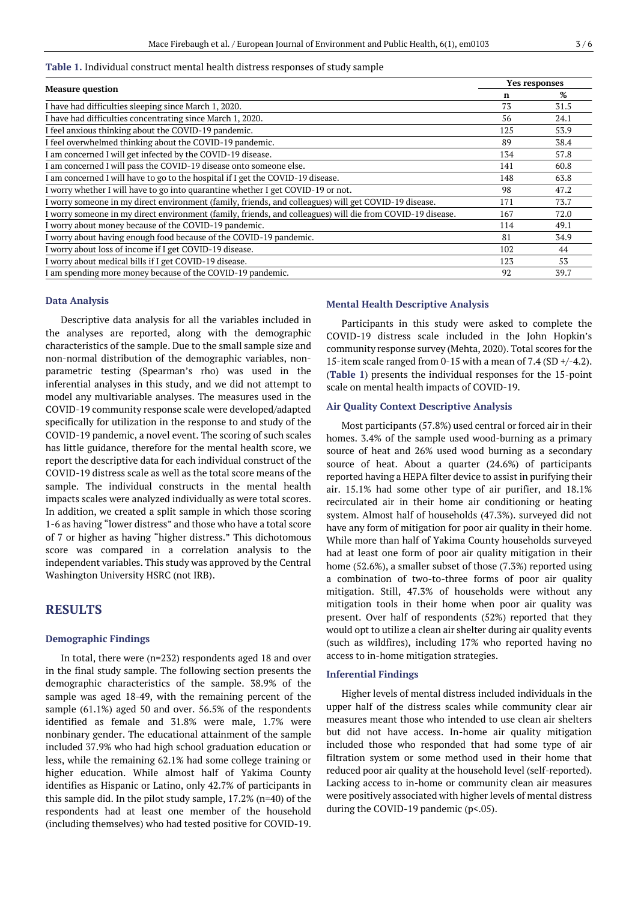### **Table 1.** Individual construct mental health distress responses of study sample

| <b>Measure question</b>                                                                                    | Yes responses |      |
|------------------------------------------------------------------------------------------------------------|---------------|------|
|                                                                                                            | n             | %    |
| I have had difficulties sleeping since March 1, 2020.                                                      | 73            | 31.5 |
| I have had difficulties concentrating since March 1, 2020.                                                 | 56            | 24.1 |
| I feel anxious thinking about the COVID-19 pandemic.                                                       | 125           | 53.9 |
| I feel overwhelmed thinking about the COVID-19 pandemic.                                                   | 89            | 38.4 |
| I am concerned I will get infected by the COVID-19 disease.                                                | 134           | 57.8 |
| I am concerned I will pass the COVID-19 disease onto someone else.                                         | 141           | 60.8 |
| I am concerned I will have to go to the hospital if I get the COVID-19 disease.                            | 148           | 63.8 |
| I worry whether I will have to go into quarantine whether I get COVID-19 or not.                           | 98            | 47.2 |
| I worry someone in my direct environment (family, friends, and colleagues) will get COVID-19 disease.      | 171           | 73.7 |
| I worry someone in my direct environment (family, friends, and colleagues) will die from COVID-19 disease. | 167           | 72.0 |
| I worry about money because of the COVID-19 pandemic.                                                      | 114           | 49.1 |
| I worry about having enough food because of the COVID-19 pandemic.                                         | 81            | 34.9 |
| I worry about loss of income if I get COVID-19 disease.                                                    | 102           | 44   |
| I worry about medical bills if I get COVID-19 disease.                                                     | 123           | 53   |
| I am spending more money because of the COVID-19 pandemic.                                                 | 92            | 39.7 |

### **Data Analysis**

Descriptive data analysis for all the variables included in the analyses are reported, along with the demographic characteristics of the sample. Due to the small sample size and non-normal distribution of the demographic variables, nonparametric testing (Spearman's rho) was used in the inferential analyses in this study, and we did not attempt to model any multivariable analyses. The measures used in the COVID-19 community response scale were developed/adapted specifically for utilization in the response to and study of the COVID-19 pandemic, a novel event. The scoring of such scales has little guidance, therefore for the mental health score, we report the descriptive data for each individual construct of the COVID-19 distress scale as well as the total score means of the sample. The individual constructs in the mental health impacts scales were analyzed individually as were total scores. In addition, we created a split sample in which those scoring 1-6 as having "lower distress" and those who have a total score of 7 or higher as having "higher distress." This dichotomous score was compared in a correlation analysis to the independent variables. This study was approved by the Central Washington University HSRC (not IRB).

# **RESULTS**

### **Demographic Findings**

In total, there were (n=232) respondents aged 18 and over in the final study sample. The following section presents the demographic characteristics of the sample. 38.9% of the sample was aged 18-49, with the remaining percent of the sample (61.1%) aged 50 and over. 56.5% of the respondents identified as female and 31.8% were male, 1.7% were nonbinary gender. The educational attainment of the sample included 37.9% who had high school graduation education or less, while the remaining 62.1% had some college training or higher education. While almost half of Yakima County identifies as Hispanic or Latino, only 42.7% of participants in this sample did. In the pilot study sample, 17.2% (n=40) of the respondents had at least one member of the household (including themselves) who had tested positive for COVID-19.

### **Mental Health Descriptive Analysis**

Participants in this study were asked to complete the COVID-19 distress scale included in the John Hopkin's community response survey (Mehta, 2020). Total scores forthe 15-item scale ranged from 0-15 with a mean of 7.4 (SD  $+/-4.2$ ). (**Table 1**) presents the individual responses for the 15-point scale on mental health impacts of COVID-19.

#### **Air Quality Context Descriptive Analysis**

Most participants (57.8%) used central or forced air in their homes. 3.4% of the sample used wood-burning as a primary source of heat and 26% used wood burning as a secondary source of heat. About a quarter (24.6%) of participants reported having a HEPA filter device to assist in purifying their air. 15.1% had some other type of air purifier, and 18.1% recirculated air in their home air conditioning or heating system. Almost half of households (47.3%). surveyed did not have any form of mitigation for poor air quality in their home. While more than half of Yakima County households surveyed had at least one form of poor air quality mitigation in their home (52.6%), a smaller subset of those (7.3%) reported using a combination of two-to-three forms of poor air quality mitigation. Still, 47.3% of households were without any mitigation tools in their home when poor air quality was present. Over half of respondents (52%) reported that they would opt to utilize a clean air shelter during air quality events (such as wildfires), including 17% who reported having no access to in-home mitigation strategies.

#### **Inferential Findings**

Higher levels of mental distress included individuals in the upper half of the distress scales while community clear air measures meant those who intended to use clean air shelters but did not have access. In-home air quality mitigation included those who responded that had some type of air filtration system or some method used in their home that reduced poor air quality at the household level (self-reported). Lacking access to in-home or community clean air measures were positively associated with higher levels of mental distress during the COVID-19 pandemic (p<.05).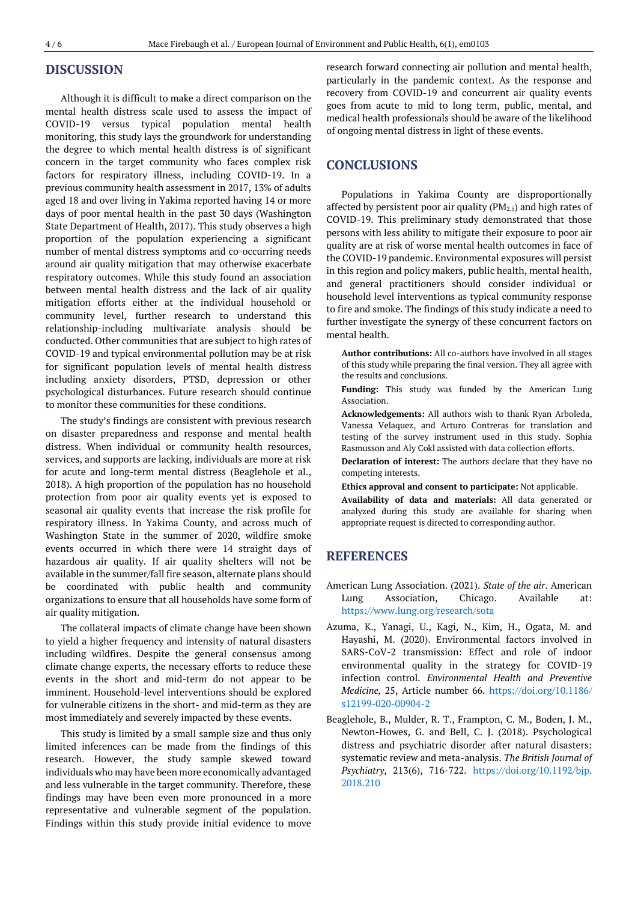# **DISCUSSION**

Although it is difficult to make a direct comparison on the mental health distress scale used to assess the impact of COVID-19 versus typical population mental health monitoring, this study lays the groundwork for understanding the degree to which mental health distress is of significant concern in the target community who faces complex risk factors for respiratory illness, including COVID-19. In a previous community health assessment in 2017, 13% of adults aged 18 and over living in Yakima reported having 14 or more days of poor mental health in the past 30 days (Washington State Department of Health, 2017). This study observes a high proportion of the population experiencing a significant number of mental distress symptoms and co-occurring needs around air quality mitigation that may otherwise exacerbate respiratory outcomes. While this study found an association between mental health distress and the lack of air quality mitigation efforts either at the individual household or community level, further research to understand this relationship-including multivariate analysis should be conducted. Other communities that are subject to high rates of COVID-19 and typical environmental pollution may be at risk for significant population levels of mental health distress including anxiety disorders, PTSD, depression or other psychological disturbances. Future research should continue to monitor these communities for these conditions.

The study's findings are consistent with previous research on disaster preparedness and response and mental health distress. When individual or community health resources, services, and supports are lacking, individuals are more at risk for acute and long-term mental distress (Beaglehole et al., 2018). A high proportion of the population has no household protection from poor air quality events yet is exposed to seasonal air quality events that increase the risk profile for respiratory illness. In Yakima County, and across much of Washington State in the summer of 2020, wildfire smoke events occurred in which there were 14 straight days of hazardous air quality. If air quality shelters will not be available in the summer/fall fire season, alternate plans should be coordinated with public health and community organizations to ensure that all households have some form of air quality mitigation.

The collateral impacts of climate change have been shown to yield a higher frequency and intensity of natural disasters including wildfires. Despite the general consensus among climate change experts, the necessary efforts to reduce these events in the short and mid-term do not appear to be imminent. Household-level interventions should be explored for vulnerable citizens in the short- and mid-term as they are most immediately and severely impacted by these events.

This study is limited by a small sample size and thus only limited inferences can be made from the findings of this research. However, the study sample skewed toward individuals who may have been more economically advantaged and less vulnerable in the target community. Therefore, these findings may have been even more pronounced in a more representative and vulnerable segment of the population. Findings within this study provide initial evidence to move

research forward connecting air pollution and mental health, particularly in the pandemic context. As the response and recovery from COVID-19 and concurrent air quality events goes from acute to mid to long term, public, mental, and medical health professionals should be aware of the likelihood of ongoing mental distress in light of these events.

# **CONCLUSIONS**

Populations in Yakima County are disproportionally affected by persistent poor air quality ( $PM_{2.5}$ ) and high rates of COVID-19. This preliminary study demonstrated that those persons with less ability to mitigate their exposure to poor air quality are at risk of worse mental health outcomes in face of the COVID-19 pandemic. Environmental exposures will persist in this region and policy makers, public health, mental health, and general practitioners should consider individual or household level interventions as typical community response to fire and smoke. The findings of this study indicate a need to further investigate the synergy of these concurrent factors on mental health.

**Author contributions:** All co-authors have involved in all stages of this study while preparing the final version. They all agree with the results and conclusions.

**Funding:** This study was funded by the American Lung Association.

**Acknowledgements:** All authors wish to thank Ryan Arboleda, Vanessa Velaquez, and Arturo Contreras for translation and testing of the survey instrument used in this study. Sophia Rasmusson and Aly Cokl assisted with data collection efforts.

**Declaration of interest:** The authors declare that they have no competing interests.

**Ethics approval and consent to participate:** Not applicable.

**Availability of data and materials:** All data generated or analyzed during this study are available for sharing when appropriate request is directed to corresponding author.

# **REFERENCES**

- American Lung Association. (2021). *State of the air*. American Lung Association, Chicago. Available at: <https://www.lung.org/research/sota>
- Azuma, K., Yanagi, U., Kagi, N., Kim, H., Ogata, M. and Hayashi, M. (2020). Environmental factors involved in SARS-CoV-2 transmission: Effect and role of indoor environmental quality in the strategy for COVID-19 infection control. *Environmental Health and Preventive Medicine,* 25, Article number 66. [https://doi.org/10.1186/](https://doi.org/10.1186/s12199-020-00904-2) [s12199-020-00904-2](https://doi.org/10.1186/s12199-020-00904-2)
- Beaglehole, B., Mulder, R. T., Frampton, C. M., Boden, J. M., Newton-Howes, G. and Bell, C. J. (2018). Psychological distress and psychiatric disorder after natural disasters: systematic review and meta-analysis. *The British Journal of Psychiatry*, 213(6), 716-722. [https://doi.org/10.1192/bjp.](https://doi.org/10.1192/bjp.2018.210) [2018.210](https://doi.org/10.1192/bjp.2018.210)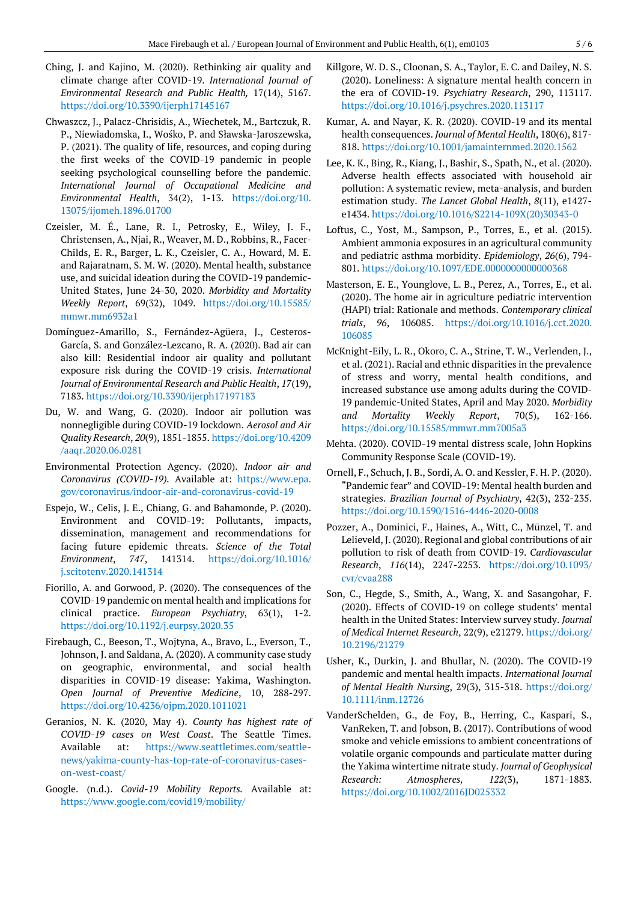- Ching, J. and Kajino, M. (2020). Rethinking air quality and climate change after COVID-19. *International Journal of Environmental Research and Public Health,* 17(14), 5167. <https://doi.org/10.3390/ijerph17145167>
- Chwaszcz, J., Palacz-Chrisidis, A., Wiechetek, M., Bartczuk, R. P., Niewiadomska, I., Wośko, P. and Sławska-Jaroszewska, P. (2021). The quality of life, resources, and coping during the first weeks of the COVID‑19 pandemic in people seeking psychological counselling before the pandemic. *International Journal of Occupational Medicine and Environmental Health*, 34(2), 1-13. [https://doi.org/10.](https://doi.org/10.13075/ijomeh.1896.01700) [13075/ijomeh.1896.01700](https://doi.org/10.13075/ijomeh.1896.01700)
- Czeisler, M. É., Lane, R. I., Petrosky, E., Wiley, J. F., Christensen, A., Njai, R., Weaver, M. D., Robbins, R., Facer-Childs, E. R., Barger, L. K., Czeisler, C. A., Howard, M. E. and Rajaratnam, S. M. W. (2020). Mental health, substance use, and suicidal ideation during the COVID-19 pandemic-United States, June 24-30, 2020. *Morbidity and Mortality Weekly Report*, 69(32), 1049. [https://doi.org/10.15585/](https://doi.org/10.15585/mmwr.mm6932a1) [mmwr.mm6932a1](https://doi.org/10.15585/mmwr.mm6932a1)
- Domínguez-Amarillo, S., Fernández-Agüera, J., Cesteros-García, S. and González-Lezcano, R. A. (2020). Bad air can also kill: Residential indoor air quality and pollutant exposure risk during the COVID-19 crisis. *International Journal of Environmental Research and Public Health*, *17*(19), 7183[. https://doi.org/10.3390/ijerph17197183](https://doi.org/10.3390/ijerph17197183)
- Du, W. and Wang, G. (2020). Indoor air pollution was nonnegligible during COVID-19 lockdown. *Aerosol and Air Quality Research*, *20*(9), 1851-1855. [https://doi.org/10.4209](https://doi.org/10.4209/aaqr.2020.06.0281) [/aaqr.2020.06.0281](https://doi.org/10.4209/aaqr.2020.06.0281)
- Environmental Protection Agency. (2020). *Indoor air and Coronavirus (COVID-19).* Available at: [https://www.epa.](https://www.epa.gov/coronavirus/indoor-air-and-coronavirus-covid-19) [gov/coronavirus/indoor-air-and-coronavirus-covid-19](https://www.epa.gov/coronavirus/indoor-air-and-coronavirus-covid-19)
- Espejo, W., Celis, J. E., Chiang, G. and Bahamonde, P. (2020). Environment and COVID-19: Pollutants, impacts, dissemination, management and recommendations for facing future epidemic threats. *Science of the Total Environment*, *747*, 141314. [https://doi.org/10.1016/](https://doi.org/10.1016/j.scitotenv.2020.141314) [j.scitotenv.2020.141314](https://doi.org/10.1016/j.scitotenv.2020.141314)
- Fiorillo, A. and Gorwood, P. (2020). The consequences of the COVID-19 pandemic on mental health and implications for clinical practice. *European Psychiatry*, 63(1), 1-2. <https://doi.org/10.1192/j.eurpsy.2020.35>
- Firebaugh, C., Beeson, T., Wojtyna, A., Bravo, L., Everson, T., Johnson, J. and Saldana, A. (2020). A community case study on geographic, environmental, and social health disparities in COVID-19 disease: Yakima, Washington. *Open Journal of Preventive Medicine*, 10, 288-297. <https://doi.org/10.4236/ojpm.2020.1011021>
- Geranios, N. K. (2020, May 4). *County has highest rate of COVID-19 cases on West Coast*. The Seattle Times. Available at: [https://www.seattletimes.com/seattle](https://www.seattletimes.com/seattle-news/yakima-county-has-top-rate-of-coronavirus-cases-on-west-coast/)[news/yakima-county-has-top-rate-of-coronavirus-cases](https://www.seattletimes.com/seattle-news/yakima-county-has-top-rate-of-coronavirus-cases-on-west-coast/)[on-west-coast/](https://www.seattletimes.com/seattle-news/yakima-county-has-top-rate-of-coronavirus-cases-on-west-coast/)
- Google. (n.d.). *Covid-19 Mobility Reports.* Available at: <https://www.google.com/covid19/mobility/>
- Killgore, W. D. S., Cloonan, S. A., Taylor, E. C. and Dailey, N. S. (2020). Loneliness: A signature mental health concern in the era of COVID-19. *Psychiatry Research*, 290, 113117. <https://doi.org/10.1016/j.psychres.2020.113117>
- Kumar, A. and Nayar, K. R. (2020). COVID-19 and its mental health consequences. *Journal of Mental Health*, 180(6), 817- 818. <https://doi.org/10.1001/jamainternmed.2020.1562>
- Lee, K. K., Bing, R., Kiang, J., Bashir, S., Spath, N., et al. (2020). Adverse health effects associated with household air pollution: A systematic review, meta-analysis, and burden estimation study. *The Lancet Global Health*, *8*(11), e1427 e1434[. https://doi.org/10.1016/S2214-109X\(20\)30343-0](https://doi.org/10.1016/S2214-109X(20)30343-0)
- Loftus, C., Yost, M., Sampson, P., Torres, E., et al. (2015). Ambient ammonia exposures in an agricultural community and pediatric asthma morbidity. *Epidemiology*, *26*(6), 794- 801.<https://doi.org/10.1097/EDE.0000000000000368>
- Masterson, E. E., Younglove, L. B., Perez, A., Torres, E., et al. (2020). The home air in agriculture pediatric intervention (HAPI) trial: Rationale and methods. *Contemporary clinical trials*, *96*, 106085. [https://doi.org/10.1016/j.cct.2020.](https://doi.org/10.1016/j.cct.2020.106085) [106085](https://doi.org/10.1016/j.cct.2020.106085)
- McKnight-Eily, L. R., Okoro, C. A., Strine, T. W., Verlenden, J., et al. (2021). Racial and ethnic disparities in the prevalence of stress and worry, mental health conditions, and increased substance use among adults during the COVID-19 pandemic-United States, April and May 2020. *Morbidity and Mortality Weekly Report*, 70(5), 162-166. <https://doi.org/10.15585/mmwr.mm7005a3>
- Mehta. (2020). COVID-19 mental distress scale, John Hopkins Community Response Scale (COVID-19).
- Ornell, F., Schuch, J. B., Sordi, A. O. and Kessler, F. H. P. (2020). "Pandemic fear" and COVID-19: Mental health burden and strategies. *Brazilian Journal of Psychiatry*, 42(3), 232-235. <https://doi.org/10.1590/1516-4446-2020-0008>
- Pozzer, A., Dominici, F., Haines, A., Witt, C., Münzel, T. and Lelieveld, J. (2020). Regional and global contributions of air pollution to risk of death from COVID-19. *Cardiovascular Research*, *116*(14), 2247-2253. [https://doi.org/10.1093/](https://doi.org/10.1093/cvr/cvaa288) [cvr/cvaa288](https://doi.org/10.1093/cvr/cvaa288)
- Son, C., Hegde, S., Smith, A., Wang, X. and Sasangohar, F. (2020). Effects of COVID-19 on college students' mental health in the United States: Interview survey study. *Journal of Medical Internet Research*, 22(9), e21279. [https://doi.org/](https://doi.org/10.2196/21279) [10.2196/21279](https://doi.org/10.2196/21279)
- Usher, K., Durkin, J. and Bhullar, N. (2020). The COVID‐19 pandemic and mental health impacts. *International Journal of Mental Health Nursing*, 29(3), 315-318. [https://doi.org/](https://doi.org/10.1111/inm.12726) [10.1111/inm.12726](https://doi.org/10.1111/inm.12726)
- VanderSchelden, G., de Foy, B., Herring, C., Kaspari, S., VanReken, T. and Jobson, B. (2017). Contributions of wood smoke and vehicle emissions to ambient concentrations of volatile organic compounds and particulate matter during the Yakima wintertime nitrate study. *Journal of Geophysical Research: Atmospheres, 122*(3), 1871-1883. <https://doi.org/10.1002/2016JD025332>